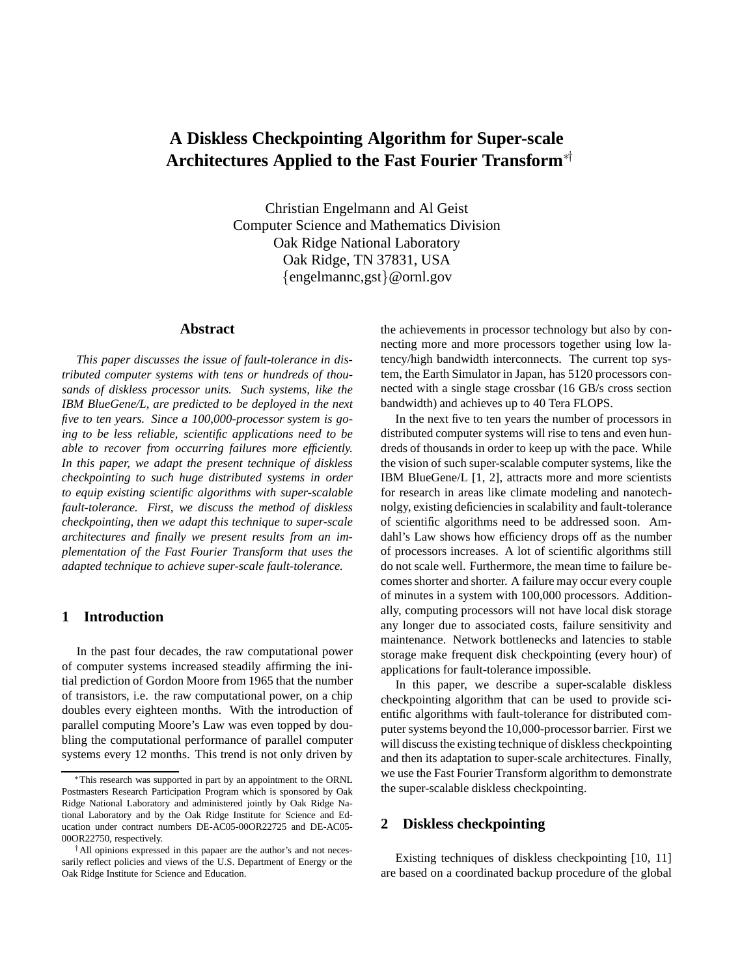# **A Diskless Checkpointing Algorithm for Super-scale Architectures Applied to the Fast Fourier Transform**∗†

Christian Engelmann and Al Geist Computer Science and Mathematics Division Oak Ridge National Laboratory Oak Ridge, TN 37831, USA {engelmannc,gst}@ornl.gov

#### **Abstract**

*This paper discusses the issue of fault-tolerance in distributed computer systems with tens or hundreds of thousands of diskless processor units. Such systems, like the IBM BlueGene/L, are predicted to be deployed in the next five to ten years. Since a 100,000-processor system is going to be less reliable, scientific applications need to be able to recover from occurring failures more efficiently. In this paper, we adapt the present technique of diskless checkpointing to such huge distributed systems in order to equip existing scientific algorithms with super-scalable fault-tolerance. First, we discuss the method of diskless checkpointing, then we adapt this technique to super-scale architectures and finally we present results from an implementation of the Fast Fourier Transform that uses the adapted technique to achieve super-scale fault-tolerance.*

# **1 Introduction**

In the past four decades, the raw computational power of computer systems increased steadily affirming the initial prediction of Gordon Moore from 1965 that the number of transistors, i.e. the raw computational power, on a chip doubles every eighteen months. With the introduction of parallel computing Moore's Law was even topped by doubling the computational performance of parallel computer systems every 12 months. This trend is not only driven by

the achievements in processor technology but also by connecting more and more processors together using low latency/high bandwidth interconnects. The current top system, the Earth Simulator in Japan, has 5120 processors connected with a single stage crossbar (16 GB/s cross section bandwidth) and achieves up to 40 Tera FLOPS.

In the next five to ten years the number of processors in distributed computer systems will rise to tens and even hundreds of thousands in order to keep up with the pace. While the vision of such super-scalable computer systems, like the IBM BlueGene/L [1, 2], attracts more and more scientists for research in areas like climate modeling and nanotechnolgy, existing deficiencies in scalability and fault-tolerance of scientific algorithms need to be addressed soon. Amdahl's Law shows how efficiency drops off as the number of processors increases. A lot of scientific algorithms still do not scale well. Furthermore, the mean time to failure becomes shorter and shorter. A failure may occur every couple of minutes in a system with 100,000 processors. Additionally, computing processors will not have local disk storage any longer due to associated costs, failure sensitivity and maintenance. Network bottlenecks and latencies to stable storage make frequent disk checkpointing (every hour) of applications for fault-tolerance impossible.

In this paper, we describe a super-scalable diskless checkpointing algorithm that can be used to provide scientific algorithms with fault-tolerance for distributed computer systems beyond the 10,000-processor barrier. First we will discuss the existing technique of diskless checkpointing and then its adaptation to super-scale architectures. Finally, we use the Fast Fourier Transform algorithm to demonstrate the super-scalable diskless checkpointing.

### **2 Diskless checkpointing**

Existing techniques of diskless checkpointing [10, 11] are based on a coordinated backup procedure of the global

<sup>∗</sup>This research was supported in part by an appointment to the ORNL Postmasters Research Participation Program which is sponsored by Oak Ridge National Laboratory and administered jointly by Oak Ridge National Laboratory and by the Oak Ridge Institute for Science and Education under contract numbers DE-AC05-00OR22725 and DE-AC05- 00OR22750, respectively.

<sup>†</sup>All opinions expressed in this papaer are the author's and not necessarily reflect policies and views of the U.S. Department of Energy or the Oak Ridge Institute for Science and Education.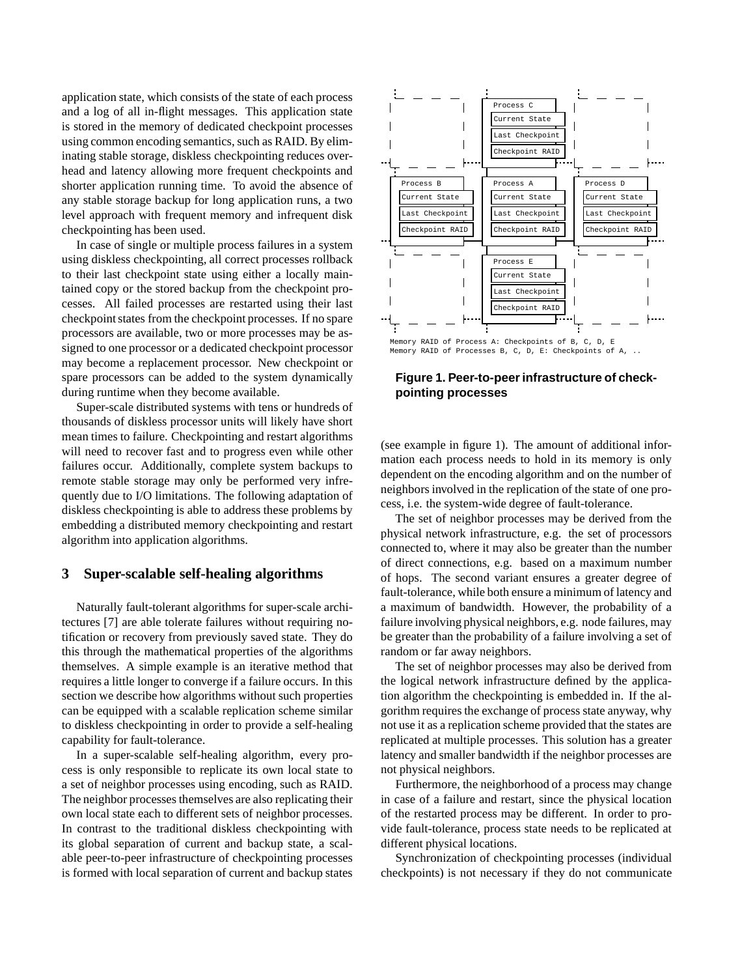application state, which consists of the state of each process and a log of all in-flight messages. This application state is stored in the memory of dedicated checkpoint processes using common encoding semantics, such as RAID. By eliminating stable storage, diskless checkpointing reduces overhead and latency allowing more frequent checkpoints and shorter application running time. To avoid the absence of any stable storage backup for long application runs, a two level approach with frequent memory and infrequent disk checkpointing has been used.

In case of single or multiple process failures in a system using diskless checkpointing, all correct processes rollback to their last checkpoint state using either a locally maintained copy or the stored backup from the checkpoint processes. All failed processes are restarted using their last checkpoint states from the checkpoint processes. If no spare processors are available, two or more processes may be assigned to one processor or a dedicated checkpoint processor may become a replacement processor. New checkpoint or spare processors can be added to the system dynamically during runtime when they become available.

Super-scale distributed systems with tens or hundreds of thousands of diskless processor units will likely have short mean times to failure. Checkpointing and restart algorithms will need to recover fast and to progress even while other failures occur. Additionally, complete system backups to remote stable storage may only be performed very infrequently due to I/O limitations. The following adaptation of diskless checkpointing is able to address these problems by embedding a distributed memory checkpointing and restart algorithm into application algorithms.

#### **3 Super-scalable self-healing algorithms**

Naturally fault-tolerant algorithms for super-scale architectures [7] are able tolerate failures without requiring notification or recovery from previously saved state. They do this through the mathematical properties of the algorithms themselves. A simple example is an iterative method that requires a little longer to converge if a failure occurs. In this section we describe how algorithms without such properties can be equipped with a scalable replication scheme similar to diskless checkpointing in order to provide a self-healing capability for fault-tolerance.

In a super-scalable self-healing algorithm, every process is only responsible to replicate its own local state to a set of neighbor processes using encoding, such as RAID. The neighbor processes themselves are also replicating their own local state each to different sets of neighbor processes. In contrast to the traditional diskless checkpointing with its global separation of current and backup state, a scalable peer-to-peer infrastructure of checkpointing processes is formed with local separation of current and backup states



**Figure 1. Peer-to-peer infrastructure of checkpointing processes**

(see example in figure 1). The amount of additional information each process needs to hold in its memory is only dependent on the encoding algorithm and on the number of neighbors involved in the replication of the state of one process, i.e. the system-wide degree of fault-tolerance.

The set of neighbor processes may be derived from the physical network infrastructure, e.g. the set of processors connected to, where it may also be greater than the number of direct connections, e.g. based on a maximum number of hops. The second variant ensures a greater degree of fault-tolerance, while both ensure a minimum of latency and a maximum of bandwidth. However, the probability of a failure involving physical neighbors, e.g. node failures, may be greater than the probability of a failure involving a set of random or far away neighbors.

The set of neighbor processes may also be derived from the logical network infrastructure defined by the application algorithm the checkpointing is embedded in. If the algorithm requires the exchange of process state anyway, why not use it as a replication scheme provided that the states are replicated at multiple processes. This solution has a greater latency and smaller bandwidth if the neighbor processes are not physical neighbors.

Furthermore, the neighborhood of a process may change in case of a failure and restart, since the physical location of the restarted process may be different. In order to provide fault-tolerance, process state needs to be replicated at different physical locations.

Synchronization of checkpointing processes (individual checkpoints) is not necessary if they do not communicate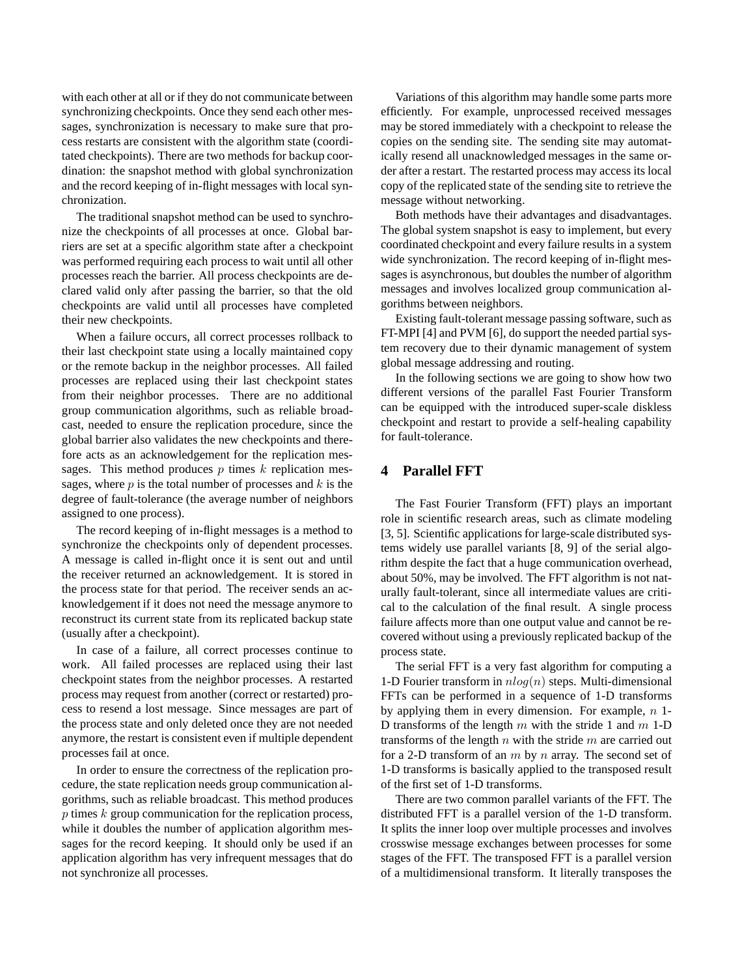with each other at all or if they do not communicate between synchronizing checkpoints. Once they send each other messages, synchronization is necessary to make sure that process restarts are consistent with the algorithm state (coorditated checkpoints). There are two methods for backup coordination: the snapshot method with global synchronization and the record keeping of in-flight messages with local synchronization.

The traditional snapshot method can be used to synchronize the checkpoints of all processes at once. Global barriers are set at a specific algorithm state after a checkpoint was performed requiring each process to wait until all other processes reach the barrier. All process checkpoints are declared valid only after passing the barrier, so that the old checkpoints are valid until all processes have completed their new checkpoints.

When a failure occurs, all correct processes rollback to their last checkpoint state using a locally maintained copy or the remote backup in the neighbor processes. All failed processes are replaced using their last checkpoint states from their neighbor processes. There are no additional group communication algorithms, such as reliable broadcast, needed to ensure the replication procedure, since the global barrier also validates the new checkpoints and therefore acts as an acknowledgement for the replication messages. This method produces  $p$  times  $k$  replication messages, where  $p$  is the total number of processes and  $k$  is the degree of fault-tolerance (the average number of neighbors assigned to one process).

The record keeping of in-flight messages is a method to synchronize the checkpoints only of dependent processes. A message is called in-flight once it is sent out and until the receiver returned an acknowledgement. It is stored in the process state for that period. The receiver sends an acknowledgement if it does not need the message anymore to reconstruct its current state from its replicated backup state (usually after a checkpoint).

In case of a failure, all correct processes continue to work. All failed processes are replaced using their last checkpoint states from the neighbor processes. A restarted process may request from another (correct or restarted) process to resend a lost message. Since messages are part of the process state and only deleted once they are not needed anymore, the restart is consistent even if multiple dependent processes fail at once.

In order to ensure the correctness of the replication procedure, the state replication needs group communication algorithms, such as reliable broadcast. This method produces  $p$  times  $k$  group communication for the replication process, while it doubles the number of application algorithm messages for the record keeping. It should only be used if an application algorithm has very infrequent messages that do not synchronize all processes.

Variations of this algorithm may handle some parts more efficiently. For example, unprocessed received messages may be stored immediately with a checkpoint to release the copies on the sending site. The sending site may automatically resend all unacknowledged messages in the same order after a restart. The restarted process may access its local copy of the replicated state of the sending site to retrieve the message without networking.

Both methods have their advantages and disadvantages. The global system snapshot is easy to implement, but every coordinated checkpoint and every failure results in a system wide synchronization. The record keeping of in-flight messages is asynchronous, but doubles the number of algorithm messages and involves localized group communication algorithms between neighbors.

Existing fault-tolerant message passing software, such as FT-MPI [4] and PVM [6], do support the needed partial system recovery due to their dynamic management of system global message addressing and routing.

In the following sections we are going to show how two different versions of the parallel Fast Fourier Transform can be equipped with the introduced super-scale diskless checkpoint and restart to provide a self-healing capability for fault-tolerance.

## **4 Parallel FFT**

The Fast Fourier Transform (FFT) plays an important role in scientific research areas, such as climate modeling [3, 5]. Scientific applications for large-scale distributed systems widely use parallel variants [8, 9] of the serial algorithm despite the fact that a huge communication overhead, about 50%, may be involved. The FFT algorithm is not naturally fault-tolerant, since all intermediate values are critical to the calculation of the final result. A single process failure affects more than one output value and cannot be recovered without using a previously replicated backup of the process state.

The serial FFT is a very fast algorithm for computing a 1-D Fourier transform in  $nlog(n)$  steps. Multi-dimensional FFTs can be performed in a sequence of 1-D transforms by applying them in every dimension. For example,  $n$  1-D transforms of the length  $m$  with the stride 1 and  $m$  1-D transforms of the length  $n$  with the stride  $m$  are carried out for a 2-D transform of an  $m$  by  $n$  array. The second set of 1-D transforms is basically applied to the transposed result of the first set of 1-D transforms.

There are two common parallel variants of the FFT. The distributed FFT is a parallel version of the 1-D transform. It splits the inner loop over multiple processes and involves crosswise message exchanges between processes for some stages of the FFT. The transposed FFT is a parallel version of a multidimensional transform. It literally transposes the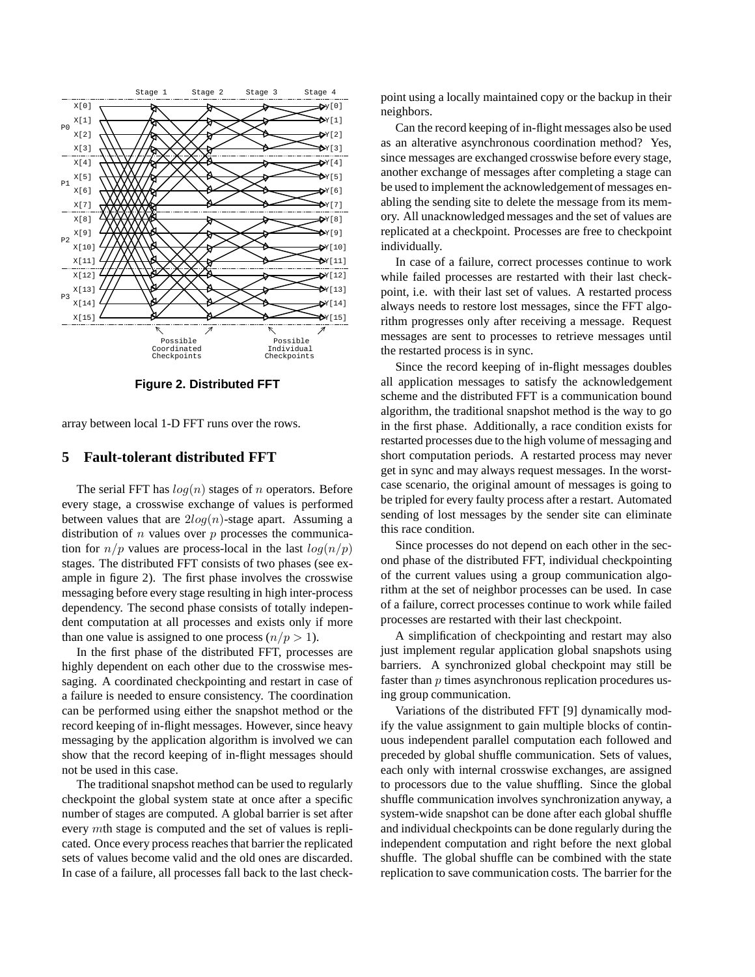

**Figure 2. Distributed FFT**

array between local 1-D FFT runs over the rows.

# **5 Fault-tolerant distributed FFT**

The serial FFT has  $log(n)$  stages of n operators. Before every stage, a crosswise exchange of values is performed between values that are  $2log(n)$ -stage apart. Assuming a distribution of  $n$  values over  $p$  processes the communication for  $n/p$  values are process-local in the last  $log(n/p)$ stages. The distributed FFT consists of two phases (see example in figure 2). The first phase involves the crosswise messaging before every stage resulting in high inter-process dependency. The second phase consists of totally independent computation at all processes and exists only if more than one value is assigned to one process  $(n/p > 1)$ .

In the first phase of the distributed FFT, processes are highly dependent on each other due to the crosswise messaging. A coordinated checkpointing and restart in case of a failure is needed to ensure consistency. The coordination can be performed using either the snapshot method or the record keeping of in-flight messages. However, since heavy messaging by the application algorithm is involved we can show that the record keeping of in-flight messages should not be used in this case.

The traditional snapshot method can be used to regularly checkpoint the global system state at once after a specific number of stages are computed. A global barrier is set after every mth stage is computed and the set of values is replicated. Once every process reaches that barrier the replicated sets of values become valid and the old ones are discarded. In case of a failure, all processes fall back to the last checkpoint using a locally maintained copy or the backup in their neighbors.

Can the record keeping of in-flight messages also be used as an alterative asynchronous coordination method? Yes, since messages are exchanged crosswise before every stage, another exchange of messages after completing a stage can be used to implement the acknowledgement of messages enabling the sending site to delete the message from its memory. All unacknowledged messages and the set of values are replicated at a checkpoint. Processes are free to checkpoint individually.

In case of a failure, correct processes continue to work while failed processes are restarted with their last checkpoint, i.e. with their last set of values. A restarted process always needs to restore lost messages, since the FFT algorithm progresses only after receiving a message. Request messages are sent to processes to retrieve messages until the restarted process is in sync.

Since the record keeping of in-flight messages doubles all application messages to satisfy the acknowledgement scheme and the distributed FFT is a communication bound algorithm, the traditional snapshot method is the way to go in the first phase. Additionally, a race condition exists for restarted processes due to the high volume of messaging and short computation periods. A restarted process may never get in sync and may always request messages. In the worstcase scenario, the original amount of messages is going to be tripled for every faulty process after a restart. Automated sending of lost messages by the sender site can eliminate this race condition.

Since processes do not depend on each other in the second phase of the distributed FFT, individual checkpointing of the current values using a group communication algorithm at the set of neighbor processes can be used. In case of a failure, correct processes continue to work while failed processes are restarted with their last checkpoint.

A simplification of checkpointing and restart may also just implement regular application global snapshots using barriers. A synchronized global checkpoint may still be faster than p times asynchronous replication procedures using group communication.

Variations of the distributed FFT [9] dynamically modify the value assignment to gain multiple blocks of continuous independent parallel computation each followed and preceded by global shuffle communication. Sets of values, each only with internal crosswise exchanges, are assigned to processors due to the value shuffling. Since the global shuffle communication involves synchronization anyway, a system-wide snapshot can be done after each global shuffle and individual checkpoints can be done regularly during the independent computation and right before the next global shuffle. The global shuffle can be combined with the state replication to save communication costs. The barrier for the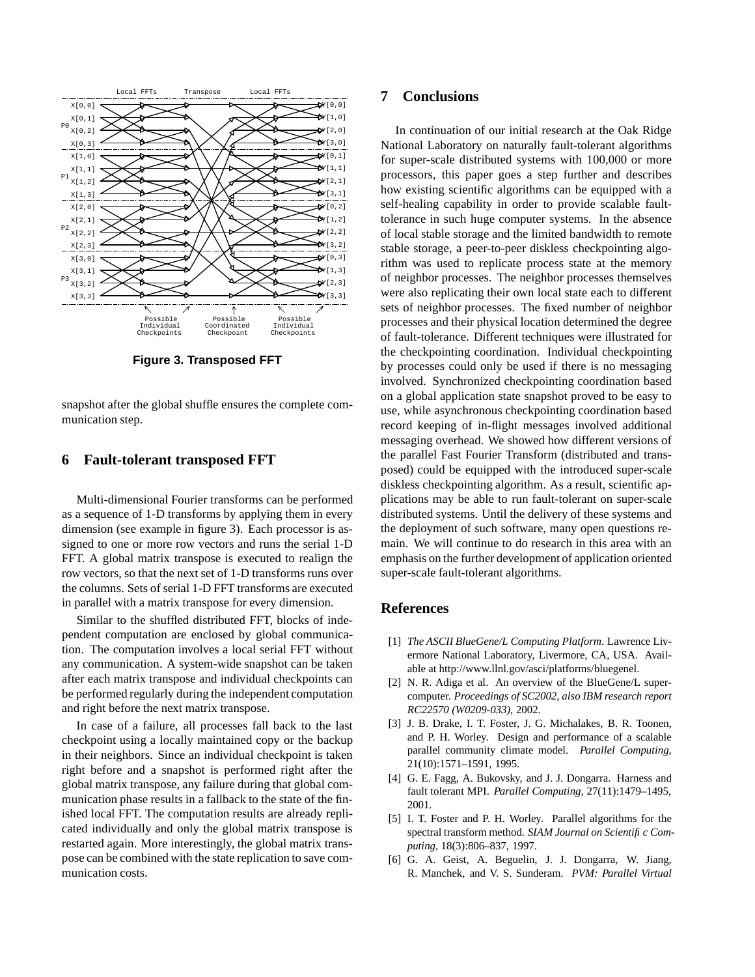

**Figure 3. Transposed FFT**

snapshot after the global shuffle ensures the complete communication step.

#### **6 Fault-tolerant transposed FFT**

Multi-dimensional Fourier transforms can be performed as a sequence of 1-D transforms by applying them in every dimension (see example in figure 3). Each processor is assigned to one or more row vectors and runs the serial 1-D FFT. A global matrix transpose is executed to realign the row vectors, so that the next set of 1-D transforms runs over the columns. Sets of serial 1-D FFT transforms are executed in parallel with a matrix transpose for every dimension.

Similar to the shuffled distributed FFT, blocks of independent computation are enclosed by global communication. The computation involves a local serial FFT without any communication. A system-wide snapshot can be taken after each matrix transpose and individual checkpoints can be performed regularly during the independent computation and right before the next matrix transpose.

In case of a failure, all processes fall back to the last checkpoint using a locally maintained copy or the backup in their neighbors. Since an individual checkpoint is taken right before and a snapshot is performed right after the global matrix transpose, any failure during that global communication phase results in a fallback to the state of the finished local FFT. The computation results are already replicated individually and only the global matrix transpose is restarted again. More interestingly, the global matrix transpose can be combined with the state replication to save communication costs.

# **7 Conclusions**

In continuation of our initial research at the Oak Ridge National Laboratory on naturally fault-tolerant algorithms for super-scale distributed systems with 100,000 or more processors, this paper goes a step further and describes how existing scientific algorithms can be equipped with a self-healing capability in order to provide scalable faulttolerance in such huge computer systems. In the absence of local stable storage and the limited bandwidth to remote stable storage, a peer-to-peer diskless checkpointing algorithm was used to replicate process state at the memory of neighbor processes. The neighbor processes themselves were also replicating their own local state each to different sets of neighbor processes. The fixed number of neighbor processes and their physical location determined the degree of fault-tolerance. Different techniques were illustrated for the checkpointing coordination. Individual checkpointing by processes could only be used if there is no messaging involved. Synchronized checkpointing coordination based on a global application state snapshot proved to be easy to use, while asynchronous checkpointing coordination based record keeping of in-flight messages involved additional messaging overhead. We showed how different versions of the parallel Fast Fourier Transform (distributed and transposed) could be equipped with the introduced super-scale diskless checkpointing algorithm. As a result, scientific applications may be able to run fault-tolerant on super-scale distributed systems. Until the delivery of these systems and the deployment of such software, many open questions remain. We will continue to do research in this area with an emphasis on the further development of application oriented super-scale fault-tolerant algorithms.

### **References**

- [1] *The ASCII BlueGene/L Computing Platform*. Lawrence Livermore National Laboratory, Livermore, CA, USA. Available at http://www.llnl.gov/asci/platforms/bluegenel.
- [2] N. R. Adiga et al. An overview of the BlueGene/L supercomputer. *Proceedings of SC2002, also IBM research report RC22570 (W0209-033)*, 2002.
- [3] J. B. Drake, I. T. Foster, J. G. Michalakes, B. R. Toonen, and P. H. Worley. Design and performance of a scalable parallel community climate model. *Parallel Computing*, 21(10):1571–1591, 1995.
- [4] G. E. Fagg, A. Bukovsky, and J. J. Dongarra. Harness and fault tolerant MPI. *Parallel Computing*, 27(11):1479–1495, 2001.
- [5] I. T. Foster and P. H. Worley. Parallel algorithms for the spectral transform method. *SIAM Journal on Scientific Computing*, 18(3):806–837, 1997.
- [6] G. A. Geist, A. Beguelin, J. J. Dongarra, W. Jiang, R. Manchek, and V. S. Sunderam. *PVM: Parallel Virtual*